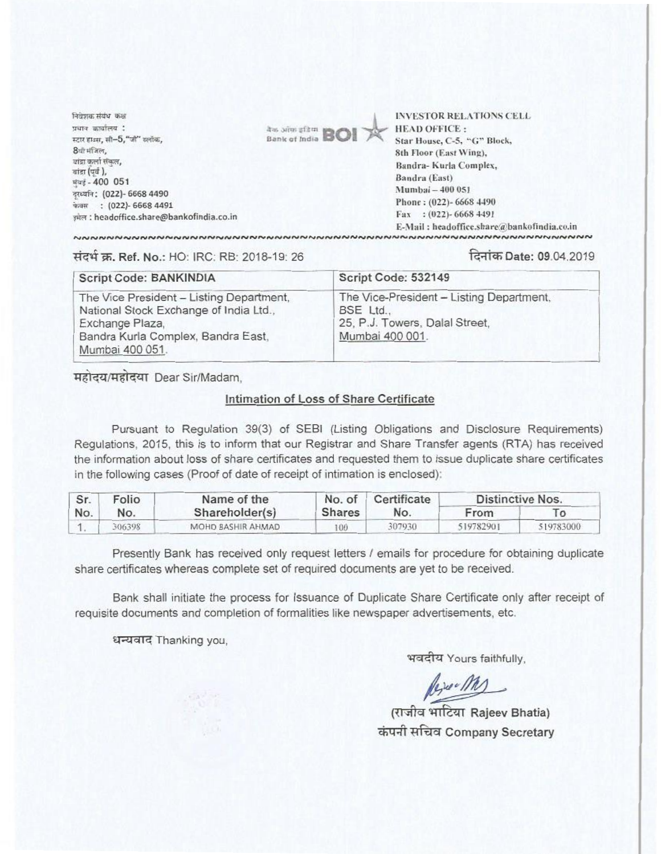निवेशक संबंध कक्ष प्रधान कार्यालय $:$ स्टार हाउस, सी- $5$ , "जी" क्लोक, 8थी मंजिल, बांद्रा कर्ला संकल,  $\pi$ igr ( $\pi$ d),  $4000051$ त्रध्वनि: (022)- 6668 4490 पेजम : (022)- 6668 4491 3i1R : headoffice.share@bankofindia.co.in



INVESTOR RELATIONS CELL HEAD OFFICE : Star House, C-5, "G" Block, 8th Floor (East Wing), Sandra- Kurla Complex, Sandra (East) Mumbai - 400 051 Phone : (022)- 6668 4490 Fax : (022)- 6668 4491 E-Mail : headoffice.share@bankofindia.co.in

.............. r.r.r.anaevnd',dn..",• no•-••••••••••r.eve•-•eve **..........................**

## **7.Ref. No.: HO: IRC:** RB: 2018-19. 26 **ithDate: 09.04.2019**

| Script Code: BANKINDIA                                                                                                                                         | Script Code: 532149                                                                                        |  |  |
|----------------------------------------------------------------------------------------------------------------------------------------------------------------|------------------------------------------------------------------------------------------------------------|--|--|
| The Vice President - Listing Department,<br>National Stock Exchange of India Ltd.,<br>Exchange Plaza,<br>Bandra Kurla Complex, Bandra East,<br>Mumbai 400 051. | The Vice-President - Listing Department,<br>BSE Ltd.,<br>25, P.J. Towers, Dalal Street,<br>Mumbai 400 001. |  |  |

महोदय/महोदया Dear Sir/Madam,

## **Intimation of Loss of Share Certificate**

Pursuant to Regulation 39(3) of SEBI (Listing Obligations and Disclosure Requirements) Regulations, 2015, this is to inform that our Registrar and Share Transfer agents (RTA) has received the information about loss of share certificates and requested them to issue duplicate share certificates in the following cases (Proof of date of receipt of intimation is enclosed):

| Sr.<br>No. | Folio<br>No. | Name of the<br>Shareholder(s) | No. of<br><b>Shares</b> | Certificate<br>No. | Distinctive Nos. |           |
|------------|--------------|-------------------------------|-------------------------|--------------------|------------------|-----------|
|            |              |                               |                         |                    | From             |           |
|            | 306398       | MOHD BASHIR AHMAD             | 100                     | 307930             | 519782901        | 519783000 |

Presently Bank has received only request letters / emails for procedure for obtaining duplicate share certificates whereas complete set of required documents are yet to be received.

Bank shall initiate the process for Issuance of Duplicate Share Certificate only after receipt of requisite documents and completion of formalities like newspaper advertisements, etc.

**trazarq -** Thanking you,

भवदीय Yours faithfully,

Reser M

(titjia **'fifftErt Rajeev Bhatia) \*7-41tact Company Secretary**